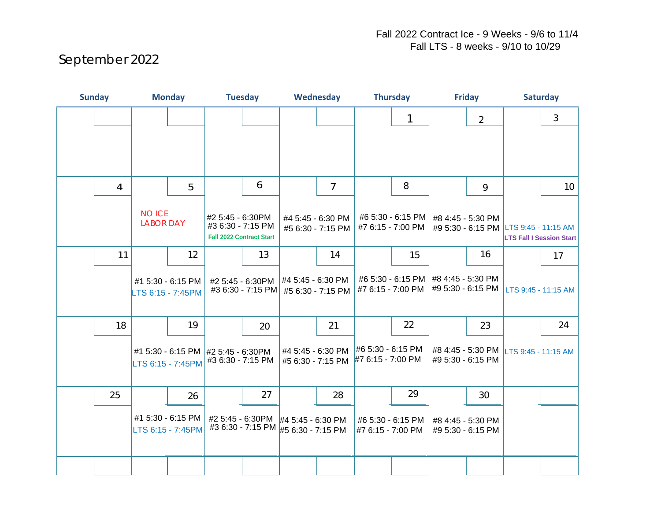## September 2022

| <b>Sunday</b> |    | <b>Monday</b>                          |                                        | <b>Tuesday</b>                                                               |                                                                            | Wednesday                              |                                        | <b>Thursday</b>                        |                                        | <b>Friday</b>                          |                                        | <b>Saturday</b>                                                          |    |
|---------------|----|----------------------------------------|----------------------------------------|------------------------------------------------------------------------------|----------------------------------------------------------------------------|----------------------------------------|----------------------------------------|----------------------------------------|----------------------------------------|----------------------------------------|----------------------------------------|--------------------------------------------------------------------------|----|
|               |    |                                        |                                        |                                                                              |                                                                            |                                        |                                        |                                        | 1                                      |                                        | $\overline{2}$                         |                                                                          | 3  |
|               |    |                                        |                                        |                                                                              |                                                                            |                                        |                                        |                                        |                                        |                                        |                                        |                                                                          |    |
|               |    |                                        |                                        |                                                                              |                                                                            |                                        |                                        |                                        |                                        |                                        |                                        |                                                                          |    |
|               | 4  |                                        | 5                                      |                                                                              | 6                                                                          |                                        | 7                                      |                                        | 8                                      |                                        | 9                                      |                                                                          | 10 |
|               |    | <b>NO ICE</b><br><b>LABOR DAY</b>      |                                        | #2 5:45 - 6:30PM<br>#3 6:30 - 7:15 PM<br><b>Fall 2022 Contract Start</b>     |                                                                            |                                        | #4 5:45 - 6:30 PM<br>#5 6:30 - 7:15 PM |                                        | #6 5:30 - 6:15 PM<br>#7 6:15 - 7:00 PM |                                        | #8 4:45 - 5:30 PM                      | #9 5:30 - 6:15 PM LTS 9:45 - 11:15 AM<br><b>LTS Fall I Session Start</b> |    |
|               | 11 |                                        | 12                                     |                                                                              | 13                                                                         |                                        | 14                                     |                                        | 15                                     |                                        | 16                                     |                                                                          | 17 |
|               |    | #1 5:30 - 6:15 PM<br>LTS 6:15 - 7:45PM |                                        |                                                                              | #2 5:45 - 6:30PM<br>#3 6:30 - 7:15 PM #5 6:30 - 7:15 PM                    | #4 5:45 - 6:30 PM                      |                                        | #7 6:15 - 7:00 PM                      | #6 5:30 - 6:15 PM                      | #8 4:45 - 5:30 PM<br>#9 5:30 - 6:15 PM |                                        | LTS 9:45 - 11:15 AM                                                      |    |
|               | 18 |                                        | 19                                     |                                                                              | 20                                                                         |                                        | 21                                     |                                        | 22                                     |                                        | 23                                     |                                                                          | 24 |
|               |    |                                        |                                        | #1 5:30 - 6:15 PM #2 5:45 - 6:30PM<br>LTS 6:15 - 7:45PM $\#3$ 6:30 - 7:15 PM |                                                                            | #4 5:45 - 6:30 PM<br>#5 6:30 - 7:15 PM |                                        | #6 5:30 - 6:15 PM<br>#7 6:15 - 7:00 PM |                                        | #9 5:30 - 6:15 PM                      | #8 4:45 - 5:30 PM                      | LTS 9:45 - 11:15 AM                                                      |    |
|               | 25 |                                        | 26                                     |                                                                              | 27                                                                         |                                        | 28                                     |                                        | 29                                     |                                        | 30                                     |                                                                          |    |
|               |    |                                        | #1 5:30 - 6:15 PM<br>LTS 6:15 - 7:45PM |                                                                              | #2 5:45 - 6:30PM  #4 5:45 - 6:30 PM<br>#3 6:30 - 7:15 PM #5 6:30 - 7:15 PM |                                        |                                        | #6 5:30 - 6:15 PM<br>#7 6:15 - 7:00 PM |                                        |                                        | #8 4:45 - 5:30 PM<br>#9 5:30 - 6:15 PM |                                                                          |    |
|               |    |                                        |                                        |                                                                              |                                                                            |                                        |                                        |                                        |                                        |                                        |                                        |                                                                          |    |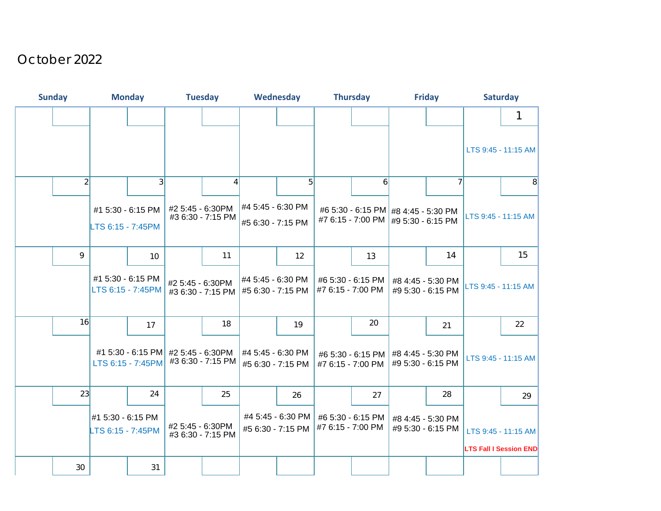## October 2022

| <b>Sunday</b>  | <b>Monday</b>                          |                   | <b>Tuesday</b>   |                                                           | Wednesday                              |                                        | <b>Thursday</b>                        |                                                                              | <b>Friday</b> |                                        | <b>Saturday</b>     |                                                      |
|----------------|----------------------------------------|-------------------|------------------|-----------------------------------------------------------|----------------------------------------|----------------------------------------|----------------------------------------|------------------------------------------------------------------------------|---------------|----------------------------------------|---------------------|------------------------------------------------------|
|                |                                        |                   |                  |                                                           |                                        |                                        |                                        |                                                                              |               |                                        |                     |                                                      |
|                |                                        |                   |                  |                                                           |                                        |                                        |                                        |                                                                              |               |                                        |                     | LTS 9:45 - 11:15 AM                                  |
| $\overline{2}$ |                                        | 3                 |                  | 4                                                         |                                        | 5 <sup>1</sup>                         |                                        | 6                                                                            |               |                                        |                     | 8 <sup>1</sup>                                       |
|                | #1 5:30 - 6:15 PM<br>LTS 6:15 - 7:45PM |                   | #2 5:45 - 6:30PM | #3 6:30 - 7:15 PM                                         | #4 5:45 - 6:30 PM<br>#5 6:30 - 7:15 PM |                                        |                                        | #6 5:30 - 6:15 PM #8 4:45 - 5:30 PM<br>#7 6:15 - 7:00 PM   #9 5:30 - 6:15 PM |               |                                        | LTS 9:45 - 11:15 AM |                                                      |
| 9              |                                        | 10                |                  | 11                                                        |                                        | 12                                     |                                        | 13                                                                           |               | 14                                     |                     | 15                                                   |
|                | #1 5:30 - 6:15 PM                      | LTS 6:15 - 7:45PM | #2 5:45 - 6:30PM | #3 6:30 - 7:15 PM #5 6:30 - 7:15 PM                       | #4 5:45 - 6:30 PM                      |                                        | #6 5:30 - 6:15 PM<br>#7 6:15 - 7:00 PM |                                                                              |               | #8 4:45 - 5:30 PM<br>#9 5:30 - 6:15 PM | LTS 9:45 - 11:15 AM |                                                      |
| 16             |                                        | 17                |                  | 18                                                        |                                        | 19                                     |                                        | 20                                                                           |               | 21                                     |                     | 22                                                   |
|                |                                        | LTS 6:15 - 7:45PM |                  | #1 5:30 - 6:15 PM #2 5:45 - 6:30PM  <br>#3 6:30 - 7:15 PM | #4 5:45 - 6:30 PM<br>#5 6:30 - 7:15 PM |                                        | #7 6:15 - 7:00 PM                      | #6 5:30 - 6:15 PM #8 4:45 - 5:30 PM                                          |               | #9 5:30 - 6:15 PM                      |                     | LTS 9:45 - 11:15 AM                                  |
| 23             |                                        | 24                |                  | 25                                                        |                                        | 26                                     |                                        | 27                                                                           |               | 28                                     |                     | 29                                                   |
|                | #1 5:30 - 6:15 PM<br>LTS 6:15 - 7:45PM |                   | #2 5:45 - 6:30PM | #3 6:30 - 7:15 PM                                         |                                        | #4 5:45 - 6:30 PM<br>#5 6:30 - 7:15 PM | #6 5:30 - 6:15 PM<br>#7 6:15 - 7:00 PM |                                                                              |               | #8 4:45 - 5:30 PM<br>#9 5:30 - 6:15 PM |                     | LTS 9:45 - 11:15 AM<br><b>LTS Fall I Session END</b> |
| 30             |                                        | 31                |                  |                                                           |                                        |                                        |                                        |                                                                              |               |                                        |                     |                                                      |